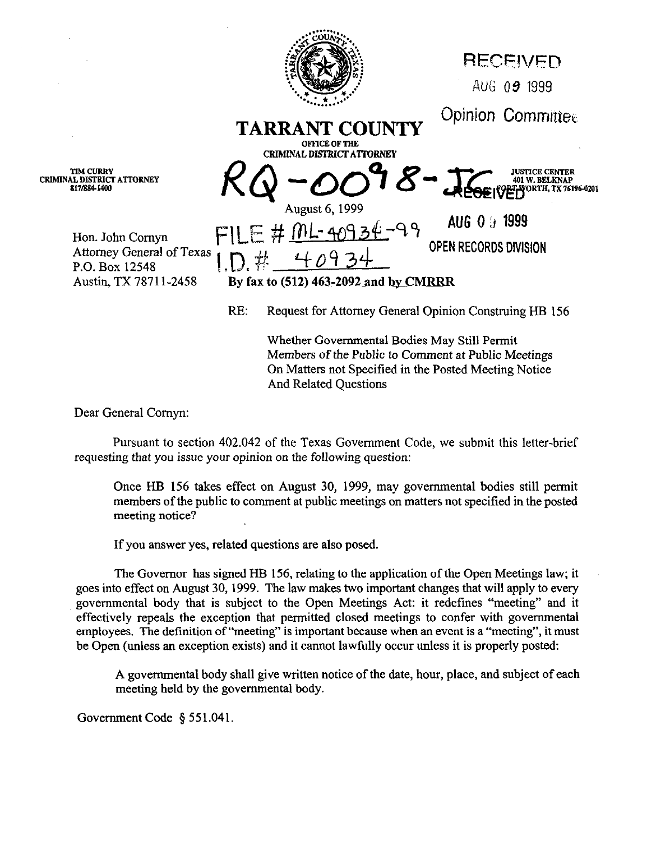

Whether Governmental Bodies May Still Permit Members of the Public to Comment at Public Meetings On Matters not Specified in the Posted Meeting Notice And Related Questions

Dear General Comyn:

Pursuant to section 402.042 of the Texas Government Code, we submit this letter-brief requesting that you issue your opinion on the following question:

Once HH 156 takes effect on August 30, 1999, may governmental bodies still permit members of the public to comment at public meetings on matters not specified in the posted meeting notice?

If you answer yes, related questions are also posed,

The Governor has signed HB 156, relating to the application of the Open Meetings law; it goes into effect on August 30,1999. The law makes two important changes that will apply to every governmental body that is subject to the Open Meetings Act: it redefines "meeting" and it effectively repeals the exception that permitted closed meetings to confer with governmental employees. The definition of "meeting" is important because when an event is a "meeting", it must be Open (unless an exception exists) and it cannot lawfully occur unless it is properly posted:

A governmental body shall give written notice of the date, hour, place, and subject of each meeting held by the governmental body.

Government Code § 551.041.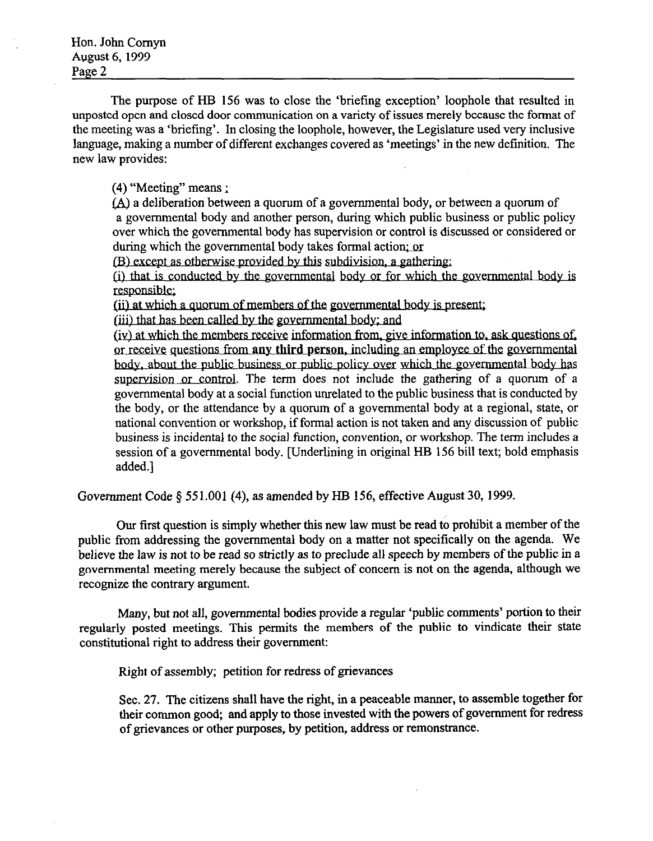The purpose of HB 156 was to close the 'briefing exception' loophole that resulted in unposted open and closed door communication on a variety of issues merely because the format of the meeting was a 'briefing'. In closing the loophole, however, the Legislature used very inclusive language, making a number of different exchanges covered as 'meetings' in the new definition. The new law provides:

 $(4)$  "Meeting" means :

(A) a deliberation between a quorum of a governmental body, or between a quorum of a governmental body and another person, during which public business or public policy over which the governmental body has supervision or control is discussed or considered or during which the governmental body takes formal action; or

(B) except as otherwise provided by this subdivision, a gathering:

(i) that is conducted by the governmental body or for which the governmental body is responsible:

(ii) at which a quorum of members of the governmental body is present:

(iii) that has been called by the governmental body; and

or receive questions from any third person, including an employee of the government body, about the public business or public policy over which the governmental body has supervision or control. The term does not include the gathering of a quorum of a governmental body at a social function unrelated to the public business that is conducted by the body, or the attendance by a quorum of a governmental body at a regional, state, or national convention or workshop, if formal action is not taken and any discussion of public business is incidental to the social function, convention, or workshop. The term includes a session of a governmental body. [Underlining in original HB 156 bill text; bold emphasis added.]

Government Code  $\delta$  551,001 (4), as amended by HB 156, effective August 30, 1999.

Our first question is simply whether this new law must be read to prohibit a member of the public from addressing the governmental body on a matter not specifically on the agenda. We believe the law is not to be read so strictly as to preclude all speech by members of the public in a governmental meeting merely because the subject of concern is not on the agenda, although we recognize the contrary argument.

Many, but not all, governmental bodies provide a regular 'public comments' portion to their regularly posted meetings. This permits the members of the public to vindicate their state constitutional right to address their government:

Right of assembly; petition for redress of grievances

Sec. 27. The citizens shall have the right, in a peaceable manner, to assemble together for their common good, and apply to those invested with the powers of government for redress of grievances or other purposes, by petition, address or remonstrance.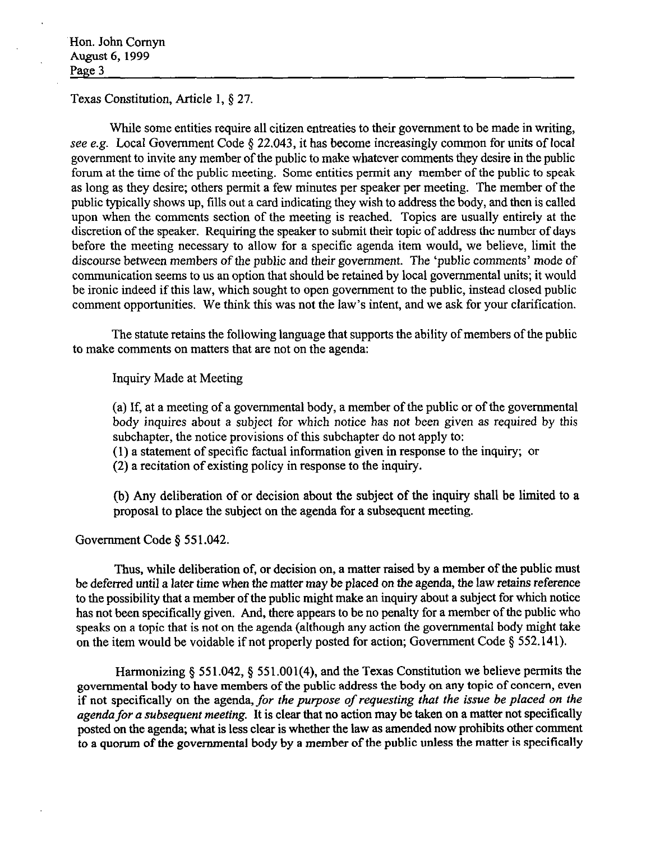Texas Constitution, Article 1, \$ 27.

While some entities require all citizen entreaties to their government to be made in writing, see e.g. Local Government Code § 22.043, it has become increasingly common for units of local government to invite any member of the public to make whatever comments they desire in the public forum at the time of the public meeting. Some entities permit any member of the public to speak as long as they desire; others permit a few minutes per speaker per meeting. The member of the public typically shows up, fills out a card indicating they wish to address the body, and then is called upon when the comments section of the meeting is reached. Topics are usually entirely at the discretion of the speaker. Requiring the speaker to submit their topic of address the number of days before the meeting necessary to allow for a specific agenda item would, we believe, limit the discourse between members of the public and their government. The 'public comments' mode of communication seems to us an option that should be retained by local governmental units; it would be ironic indeed if this law, which sought to open government to the public, instead closed public comment opportunities. We think this was not the law's intent, and we ask for your clarification.

The statute retains the following language that supports the ability of members of the public to make comments on matters that are not on the agenda:

Inquiry Made at Meeting

(a) If, at a meeting of a governmental body, a member of the public or of the governmental body inquires about a subject for which notice has not been given as required by this subchapter, the notice provisions of this subchapter do not apply to:

(1) a statement of specific factual information given in response to the inquiry; or

(2) a recitation of existing policy in response to the inquiry.

(b) Any deliberation of or decision about the subject of the inquiry shall be limited to a proposal to place the subject on the agenda for a subsequent meeting.

Government Code § 551.042.

Thus, while deliberation of, or decision on, a matter raised by a member of the public must be deferred until a later time when the matter may be placed on the agenda, the law *retains* reference to the possibility that a member of the public might make an inquiry about a subject for which notice has not been specifically given. And, there appears to be no penalty for a member of the public who speaks on a topic that is not on the agenda (although any action the governmental body might take on the item would be voidable if not properly posted for action; Government Code  $\S$  552.141).

Harmonizing § 551.042, § 551.001(4), and the Texas Constitution we believe permits the governmental body to have members of the public address the body on any topic of concern, even if not specifically on the agenda, *for the purpose of requesting that the issue be placed on the agenda for a subsequent meeting.* It is clear that no action may be taken on a matter not specifically posted on the agenda, what is less clear is whether the law as amended now prohibits other comment to a quorum of the governmental body by a member of the public unless the matter is specifically